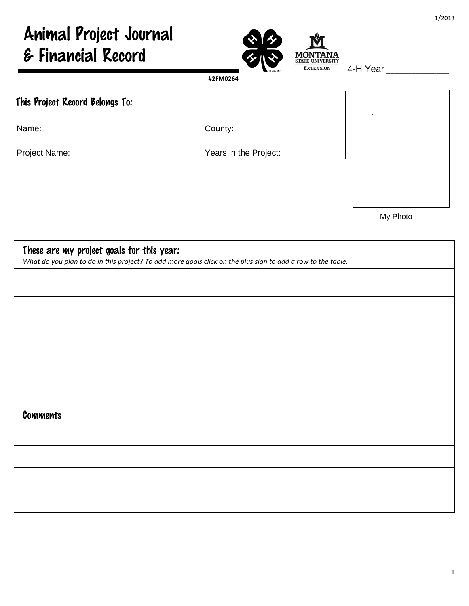# Animal Project Journal & Financial Record



4-H Year \_\_\_\_\_\_\_\_\_\_\_\_\_\_\_

## This Project Record Belongs To: Name:  $|County$ : Project Name:  $\vert$  Years in the Project: .

My Photo

| These are my project goals for this year:<br>What do you plan to do in this project? To add more goals click on the plus sign to add a row to the table. |
|----------------------------------------------------------------------------------------------------------------------------------------------------------|
|                                                                                                                                                          |
|                                                                                                                                                          |
|                                                                                                                                                          |
|                                                                                                                                                          |
|                                                                                                                                                          |
| <b>Comments</b>                                                                                                                                          |
|                                                                                                                                                          |
|                                                                                                                                                          |
|                                                                                                                                                          |
|                                                                                                                                                          |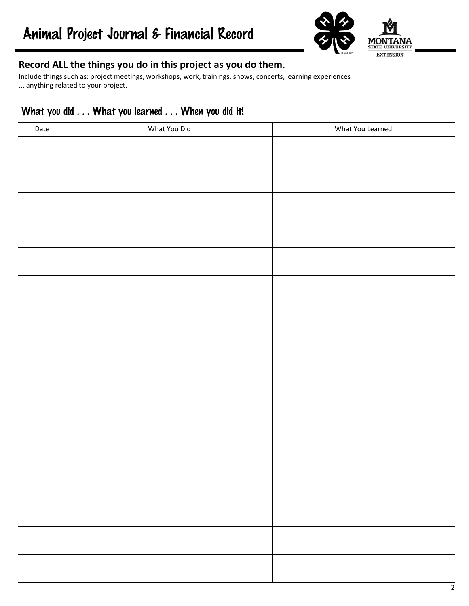

#### **Record ALL the things you do in this project as you do them**.

Include things such as: project meetings, workshops, work, trainings, shows, concerts, learning experiences ... anything related to your project.

| What You Did<br>Date | What You Learned |
|----------------------|------------------|
|                      |                  |
|                      |                  |
|                      |                  |
|                      |                  |
|                      |                  |
|                      |                  |
|                      |                  |
|                      |                  |
|                      |                  |
|                      |                  |
|                      |                  |
|                      |                  |
|                      |                  |
|                      |                  |
|                      |                  |
|                      |                  |
|                      |                  |
|                      |                  |
|                      |                  |
|                      |                  |
|                      |                  |
|                      |                  |
|                      |                  |
|                      |                  |
|                      |                  |
|                      |                  |
|                      |                  |
|                      |                  |
|                      |                  |
|                      |                  |
|                      |                  |
|                      |                  |
|                      |                  |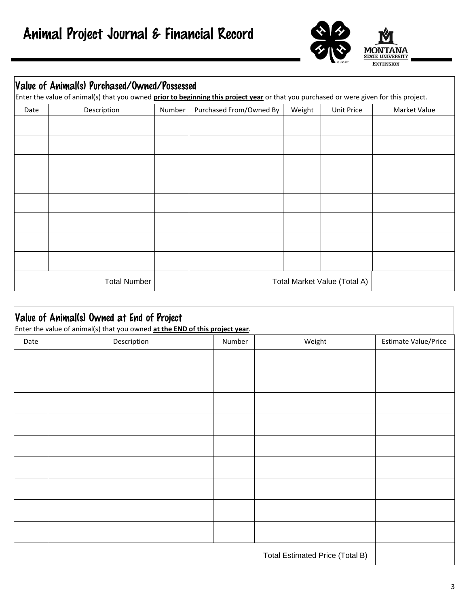

#### Value of Animal(s) Purchased/Owned/Possessed

Enter the value of animal(s) that you owned **prior to beginning this project year** or that you purchased or were given for this project.

| Date | Description         | Number | Purchased From/Owned By      | Weight | Unit Price | Market Value |
|------|---------------------|--------|------------------------------|--------|------------|--------------|
|      |                     |        |                              |        |            |              |
|      |                     |        |                              |        |            |              |
|      |                     |        |                              |        |            |              |
|      |                     |        |                              |        |            |              |
|      |                     |        |                              |        |            |              |
|      |                     |        |                              |        |            |              |
|      |                     |        |                              |        |            |              |
|      |                     |        |                              |        |            |              |
|      | <b>Total Number</b> |        | Total Market Value (Total A) |        |            |              |

|      | Value of Animal(s) Owned at End of Project<br>Enter the value of animal(s) that you owned at the END of this project year. |        |                                 |                      |
|------|----------------------------------------------------------------------------------------------------------------------------|--------|---------------------------------|----------------------|
| Date | Description                                                                                                                | Number | Weight                          | Estimate Value/Price |
|      |                                                                                                                            |        |                                 |                      |
|      |                                                                                                                            |        |                                 |                      |
|      |                                                                                                                            |        |                                 |                      |
|      |                                                                                                                            |        |                                 |                      |
|      |                                                                                                                            |        |                                 |                      |
|      |                                                                                                                            |        |                                 |                      |
|      |                                                                                                                            |        |                                 |                      |
|      |                                                                                                                            |        |                                 |                      |
|      |                                                                                                                            |        |                                 |                      |
|      |                                                                                                                            |        | Total Estimated Price (Total B) |                      |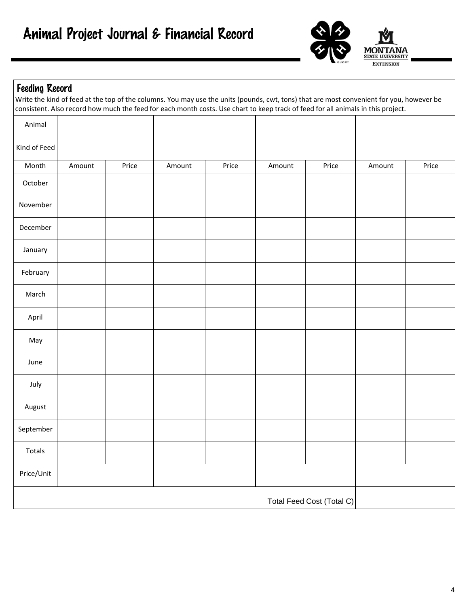

#### Feeding Record

Write the kind of feed at the top of the columns. You may use the units (pounds, cwt, tons) that are most convenient for you, however be consistent. Also record how much the feed for each month costs. Use chart to keep track of feed for all animals in this project.

| Animal       |        |       |        |       |        |                           |        |       |
|--------------|--------|-------|--------|-------|--------|---------------------------|--------|-------|
| Kind of Feed |        |       |        |       |        |                           |        |       |
| Month        | Amount | Price | Amount | Price | Amount | Price                     | Amount | Price |
| October      |        |       |        |       |        |                           |        |       |
| November     |        |       |        |       |        |                           |        |       |
| December     |        |       |        |       |        |                           |        |       |
| January      |        |       |        |       |        |                           |        |       |
| February     |        |       |        |       |        |                           |        |       |
| March        |        |       |        |       |        |                           |        |       |
| April        |        |       |        |       |        |                           |        |       |
| May          |        |       |        |       |        |                           |        |       |
| June         |        |       |        |       |        |                           |        |       |
| July         |        |       |        |       |        |                           |        |       |
| August       |        |       |        |       |        |                           |        |       |
| September    |        |       |        |       |        |                           |        |       |
| Totals       |        |       |        |       |        |                           |        |       |
| Price/Unit   |        |       |        |       |        |                           |        |       |
|              |        |       |        |       |        | Total Feed Cost (Total C) |        |       |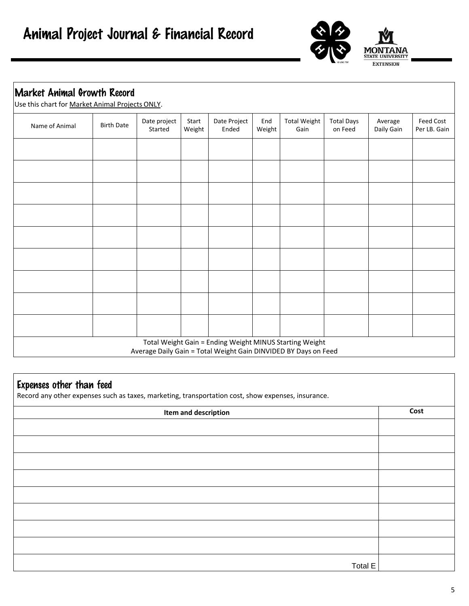

| Name of Animal | <b>Birth Date</b> | Date project<br>Started | Start<br>Weight | Date Project<br>Ended | End<br>Weight | <b>Total Weight</b><br>Gain | <b>Total Days</b><br>on Feed | Average<br>Daily Gain | <b>Feed Cost</b><br>Per LB. Gain |
|----------------|-------------------|-------------------------|-----------------|-----------------------|---------------|-----------------------------|------------------------------|-----------------------|----------------------------------|
|                |                   |                         |                 |                       |               |                             |                              |                       |                                  |
|                |                   |                         |                 |                       |               |                             |                              |                       |                                  |
|                |                   |                         |                 |                       |               |                             |                              |                       |                                  |
|                |                   |                         |                 |                       |               |                             |                              |                       |                                  |
|                |                   |                         |                 |                       |               |                             |                              |                       |                                  |
|                |                   |                         |                 |                       |               |                             |                              |                       |                                  |
|                |                   |                         |                 |                       |               |                             |                              |                       |                                  |
|                |                   |                         |                 |                       |               |                             |                              |                       |                                  |
|                |                   |                         |                 |                       |               |                             |                              |                       |                                  |

### Expenses other than feed

Record any other expenses such as taxes, marketing, transportation cost, show expenses, insurance.

| Item and description | Cost |
|----------------------|------|
|                      |      |
|                      |      |
|                      |      |
|                      |      |
|                      |      |
|                      |      |
|                      |      |
|                      |      |
| Total E              |      |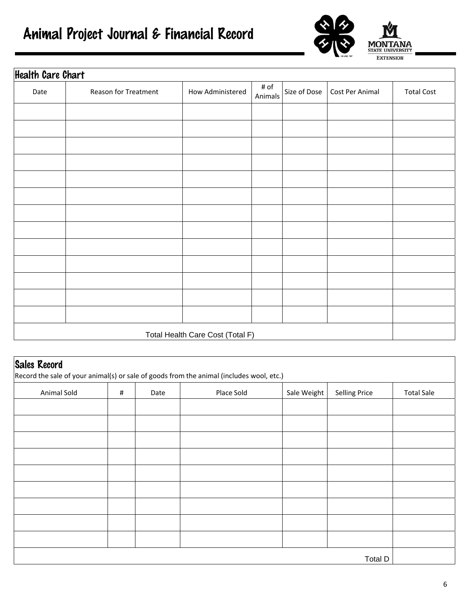|  |  |  |  | Animal Project Journal & Financial Record |  |
|--|--|--|--|-------------------------------------------|--|
|--|--|--|--|-------------------------------------------|--|



| <b>Health Care Chart</b> |                                  |                  |                 |              |                 |                   |  |  |  |
|--------------------------|----------------------------------|------------------|-----------------|--------------|-----------------|-------------------|--|--|--|
| Date                     | Reason for Treatment             | How Administered | # of<br>Animals | Size of Dose | Cost Per Animal | <b>Total Cost</b> |  |  |  |
|                          |                                  |                  |                 |              |                 |                   |  |  |  |
|                          |                                  |                  |                 |              |                 |                   |  |  |  |
|                          |                                  |                  |                 |              |                 |                   |  |  |  |
|                          |                                  |                  |                 |              |                 |                   |  |  |  |
|                          |                                  |                  |                 |              |                 |                   |  |  |  |
|                          |                                  |                  |                 |              |                 |                   |  |  |  |
|                          |                                  |                  |                 |              |                 |                   |  |  |  |
|                          |                                  |                  |                 |              |                 |                   |  |  |  |
|                          |                                  |                  |                 |              |                 |                   |  |  |  |
|                          |                                  |                  |                 |              |                 |                   |  |  |  |
|                          |                                  |                  |                 |              |                 |                   |  |  |  |
|                          |                                  |                  |                 |              |                 |                   |  |  |  |
|                          |                                  |                  |                 |              |                 |                   |  |  |  |
|                          | Total Health Care Cost (Total F) |                  |                 |              |                 |                   |  |  |  |

|             |      |      | Record the sale of your animal(s) or sale of goods from the animal (includes wool, etc.) |             |                      |                   |
|-------------|------|------|------------------------------------------------------------------------------------------|-------------|----------------------|-------------------|
| Animal Sold | $\#$ | Date | Place Sold                                                                               | Sale Weight | <b>Selling Price</b> | <b>Total Sale</b> |
|             |      |      |                                                                                          |             |                      |                   |
|             |      |      |                                                                                          |             |                      |                   |
|             |      |      |                                                                                          |             |                      |                   |
|             |      |      |                                                                                          |             |                      |                   |
|             |      |      |                                                                                          |             |                      |                   |
|             |      |      |                                                                                          |             |                      |                   |
|             |      |      |                                                                                          |             |                      |                   |
|             |      |      |                                                                                          |             |                      |                   |
|             |      |      |                                                                                          |             |                      |                   |
|             |      |      |                                                                                          |             |                      |                   |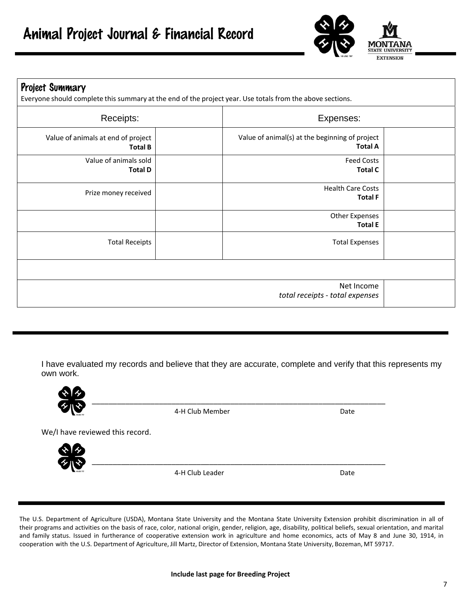

| Project Summary<br>Everyone should complete this summary at the end of the project year. Use totals from the above sections. |                                                                  |  |
|------------------------------------------------------------------------------------------------------------------------------|------------------------------------------------------------------|--|
| Receipts:                                                                                                                    | Expenses:                                                        |  |
| Value of animals at end of project<br><b>Total B</b>                                                                         | Value of animal(s) at the beginning of project<br><b>Total A</b> |  |
| Value of animals sold<br><b>Total D</b>                                                                                      | <b>Feed Costs</b><br><b>Total C</b>                              |  |
| Prize money received                                                                                                         | <b>Health Care Costs</b><br><b>Total F</b>                       |  |
|                                                                                                                              | <b>Other Expenses</b><br><b>Total E</b>                          |  |
| <b>Total Receipts</b>                                                                                                        | <b>Total Expenses</b>                                            |  |
|                                                                                                                              |                                                                  |  |
|                                                                                                                              | Net Income<br>total receipts - total expenses                    |  |

I have evaluated my records and believe that they are accurate, complete and verify that this represents my own work.

\_\_\_\_\_\_\_\_\_\_\_\_\_\_\_\_\_\_\_\_\_\_\_\_\_\_\_\_\_\_\_\_\_\_\_\_\_\_\_\_\_\_\_\_\_\_\_\_\_\_\_\_\_\_\_\_\_\_\_\_\_\_\_\_\_\_\_\_\_\_



4-H Club Member Date

We/I have reviewed this record.



4‐H Club Leader Date

The U.S. Department of Agriculture (USDA), Montana State University and the Montana State University Extension prohibit discrimination in all of their programs and activities on the basis of race, color, national origin, gender, religion, age, disability, political beliefs, sexual orientation, and marital and family status. Issued in furtherance of cooperative extension work in agriculture and home economics, acts of May 8 and June 30, 1914, in cooperation with the U.S. Department of Agriculture, Jill Martz, Director of Extension, Montana State University, Bozeman, MT 59717.